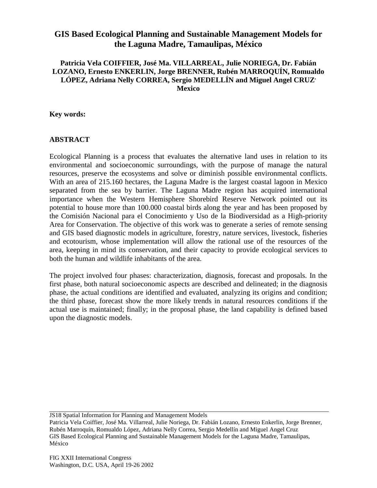## **GIS Based Ecological Planning and Sustainable Management Models for the Laguna Madre, Tamaulipas, México**

## **Patricia Vela COIFFIER, José Ma. VILLARREAL, Julie NORIEGA, Dr. Fabián LOZANO, Ernesto ENKERLIN, Jorge BRENNER, Rubén MARROQUÍN, Romualdo LÓPEZ, Adriana Nelly CORREA, Sergio MEDELLÍN and Miguel Angel CRUZ, Mexico**

**Key words:**

## **ABSTRACT**

Ecological Planning is a process that evaluates the alternative land uses in relation to its environmental and socioeconomic surroundings, with the purpose of manage the natural resources, preserve the ecosystems and solve or diminish possible environmental conflicts. With an area of 215.160 hectares, the Laguna Madre is the largest coastal lagoon in Mexico separated from the sea by barrier. The Laguna Madre region has acquired international importance when the Western Hemisphere Shorebird Reserve Network pointed out its potential to house more than 100.000 coastal birds along the year and has been proposed by the Comisión Nacional para el Conocimiento y Uso de la Biodiversidad as a High-priority Area for Conservation. The objective of this work was to generate a series of remote sensing and GIS based diagnostic models in agriculture, forestry, nature services, livestock, fisheries and ecotourism, whose implementation will allow the rational use of the resources of the area, keeping in mind its conservation, and their capacity to provide ecological services to both the human and wildlife inhabitants of the area.

The project involved four phases: characterization, diagnosis, forecast and proposals. In the first phase, both natural socioeconomic aspects are described and delineated; in the diagnosis phase, the actual conditions are identified and evaluated, analyzing its origins and condition; the third phase, forecast show the more likely trends in natural resources conditions if the actual use is maintained; finally; in the proposal phase, the land capability is defined based upon the diagnostic models.

JS18 Spatial Information for Planning and Management Models

Patricia Vela Coiffier, José Ma. Villarreal, Julie Noriega, Dr. Fabián Lozano, Ernesto Enkerlin, Jorge Brenner, Rubén Marroquín, Romualdo López, Adriana Nelly Correa, Sergio Medellín and Miguel Angel Cruz GIS Based Ecological Planning and Sustainable Management Models for the Laguna Madre, Tamaulipas, México